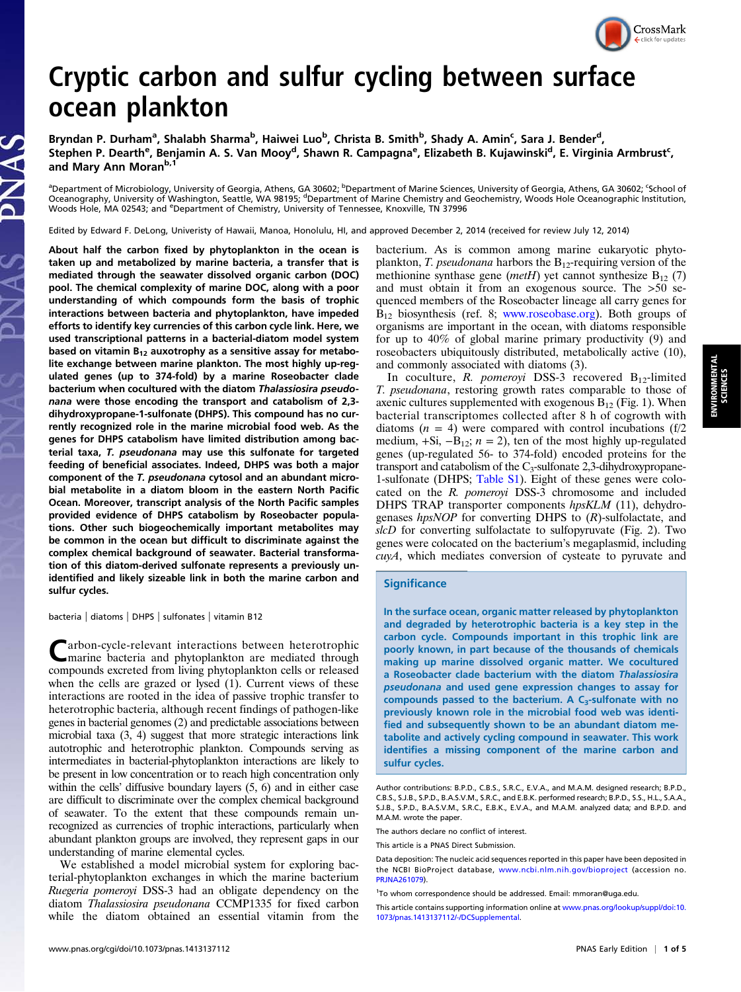## CrossMark

## Cryptic carbon and sulfur cycling between surface ocean plankton

Bryndan P. Durham<sup>a</sup>, Shalabh Sharma<sup>b</sup>, Haiwei Luo<sup>b</sup>, Christa B. Smith<sup>b</sup>, Shady A. Amin<sup>c</sup>, Sara J. Bender<sup>d</sup>, Stephen P. Dearth<sup>e</sup>, Benjamin A. S. Van Mooy<sup>d</sup>, Shawn R. Campagna<sup>e</sup>, Elizabeth B. Kujawinski<sup>d</sup>, E. Virginia Armbrust<sup>c</sup>, and Mary Ann Moran<sup>b,1</sup>

<sup>a</sup>Department of Microbiology, University of Georgia, Athens, GA 30602; <sup>b</sup>Department of Marine Sciences, University of Georgia, Athens, GA 30602; <sup>c</sup>School of Oceanography, University of Washington, Seattle, WA 98195; <sup>d</sup>Department of Marine Chemistry and Geochemistry, Woods Hole Oceanographic Institution,<br>Woods Hole, MA 02543; and <sup>e</sup>Department of Chemistry, University of Tenne

Edited by Edward F. DeLong, Univeristy of Hawaii, Manoa, Honolulu, HI, and approved December 2, 2014 (received for review July 12, 2014)

About half the carbon fixed by phytoplankton in the ocean is taken up and metabolized by marine bacteria, a transfer that is mediated through the seawater dissolved organic carbon (DOC) pool. The chemical complexity of marine DOC, along with a poor understanding of which compounds form the basis of trophic interactions between bacteria and phytoplankton, have impeded efforts to identify key currencies of this carbon cycle link. Here, we used transcriptional patterns in a bacterial-diatom model system based on vitamin  $B_{12}$  auxotrophy as a sensitive assay for metabolite exchange between marine plankton. The most highly up-regulated genes (up to 374-fold) by a marine Roseobacter clade bacterium when cocultured with the diatom Thalassiosira pseudonana were those encoding the transport and catabolism of 2,3 dihydroxypropane-1-sulfonate (DHPS). This compound has no currently recognized role in the marine microbial food web. As the genes for DHPS catabolism have limited distribution among bacterial taxa, T. pseudonana may use this sulfonate for targeted feeding of beneficial associates. Indeed, DHPS was both a major component of the T. pseudonana cytosol and an abundant microbial metabolite in a diatom bloom in the eastern North Pacific Ocean. Moreover, transcript analysis of the North Pacific samples provided evidence of DHPS catabolism by Roseobacter populations. Other such biogeochemically important metabolites may be common in the ocean but difficult to discriminate against the complex chemical background of seawater. Bacterial transformation of this diatom-derived sulfonate represents a previously unidentified and likely sizeable link in both the marine carbon and sulfur cycles.

bacteria | diatoms | DHPS | sulfonates | vitamin B12

arbon-cycle-relevant interactions between heterotrophic marine bacteria and phytoplankton are mediated through compounds excreted from living phytoplankton cells or released when the cells are grazed or lysed (1). Current views of these interactions are rooted in the idea of passive trophic transfer to heterotrophic bacteria, although recent findings of pathogen-like genes in bacterial genomes (2) and predictable associations between microbial taxa (3, 4) suggest that more strategic interactions link autotrophic and heterotrophic plankton. Compounds serving as intermediates in bacterial-phytoplankton interactions are likely to be present in low concentration or to reach high concentration only within the cells' diffusive boundary layers (5, 6) and in either case are difficult to discriminate over the complex chemical background of seawater. To the extent that these compounds remain unrecognized as currencies of trophic interactions, particularly when abundant plankton groups are involved, they represent gaps in our understanding of marine elemental cycles.

We established a model microbial system for exploring bacterial-phytoplankton exchanges in which the marine bacterium Ruegeria pomeroyi DSS-3 had an obligate dependency on the diatom Thalassiosira pseudonana CCMP1335 for fixed carbon while the diatom obtained an essential vitamin from the

bacterium. As is common among marine eukaryotic phytoplankton, T. pseudonana harbors the  $B_{12}$ -requiring version of the methionine synthase gene (*metH*) yet cannot synthesize  $B_{12}$  (7) and must obtain it from an exogenous source. The >50 sequenced members of the Roseobacter lineage all carry genes for  $B_{12}$  biosynthesis (ref. 8; [www.roseobase.org\)](http://www.roseobase.org). Both groups of organisms are important in the ocean, with diatoms responsible for up to 40% of global marine primary productivity (9) and roseobacters ubiquitously distributed, metabolically active (10), and commonly associated with diatoms (3).

In coculture, R. pomeroyi DSS-3 recovered  $B_{12}$ -limited T. pseudonana, restoring growth rates comparable to those of axenic cultures supplemented with exogenous  $B_{12}$  (Fig. 1). When bacterial transcriptomes collected after 8 h of cogrowth with diatoms  $(n = 4)$  were compared with control incubations  $(f/2)$ medium, +Si,  $-B_{12}$ ;  $n = 2$ ), ten of the most highly up-regulated genes (up-regulated 56- to 374-fold) encoded proteins for the transport and catabolism of the  $C_3$ -sulfonate 2,3-dihydroxypropane-1-sulfonate (DHPS; [Table S1](http://www.pnas.org/lookup/suppl/doi:10.1073/pnas.1413137112/-/DCSupplemental/pnas.1413137112.st01.docx)). Eight of these genes were colocated on the R. pomeroyi DSS-3 chromosome and included DHPS TRAP transporter components hpsKLM (11), dehydrogenases  $hpsNOP$  for converting DHPS to  $(R)$ -sulfolactate, and  $slcD$  for converting sulfolactate to sulfopyruvate (Fig. 2). Two genes were colocated on the bacterium's megaplasmid, including cuyA, which mediates conversion of cysteate to pyruvate and

## **Significance**

In the surface ocean, organic matter released by phytoplankton and degraded by heterotrophic bacteria is a key step in the carbon cycle. Compounds important in this trophic link are poorly known, in part because of the thousands of chemicals making up marine dissolved organic matter. We cocultured a Roseobacter clade bacterium with the diatom Thalassiosira pseudonana and used gene expression changes to assay for compounds passed to the bacterium. A  $C_3$ -sulfonate with no previously known role in the microbial food web was identified and subsequently shown to be an abundant diatom metabolite and actively cycling compound in seawater. This work identifies a missing component of the marine carbon and sulfur cycles.

The authors declare no conflict of interest.

ENVIRONMENTAL SCIENCES

/IRONMENTAL<br>SCIENCES

Author contributions: B.P.D., C.B.S., S.R.C., E.V.A., and M.A.M. designed research; B.P.D., C.B.S., S.J.B., S.P.D., B.A.S.V.M., S.R.C., and E.B.K. performed research; B.P.D., S.S., H.L., S.A.A., S.J.B., S.P.D., B.A.S.V.M., S.R.C., E.B.K., E.V.A., and M.A.M. analyzed data; and B.P.D. and M.A.M. wrote the paper.

This article is a PNAS Direct Submission.

Data deposition: The nucleic acid sequences reported in this paper have been deposited in the NCBI BioProject database, [www.ncbi.nlm.nih.gov/bioproject](http://www.ncbi.nlm.nih.gov/bioproject) (accession no. [PRJNA261079](http://www.ncbi.nlm.nih.gov/bioproject?term=PRJNA261079)).

<sup>&</sup>lt;sup>1</sup>To whom correspondence should be addressed. Email: [mmoran@uga.edu.](mailto:mmoran@uga.edu)

This article contains supporting information online at [www.pnas.org/lookup/suppl/doi:10.](http://www.pnas.org/lookup/suppl/doi:10.1073/pnas.1413137112/-/DCSupplemental) [1073/pnas.1413137112/-/DCSupplemental](http://www.pnas.org/lookup/suppl/doi:10.1073/pnas.1413137112/-/DCSupplemental).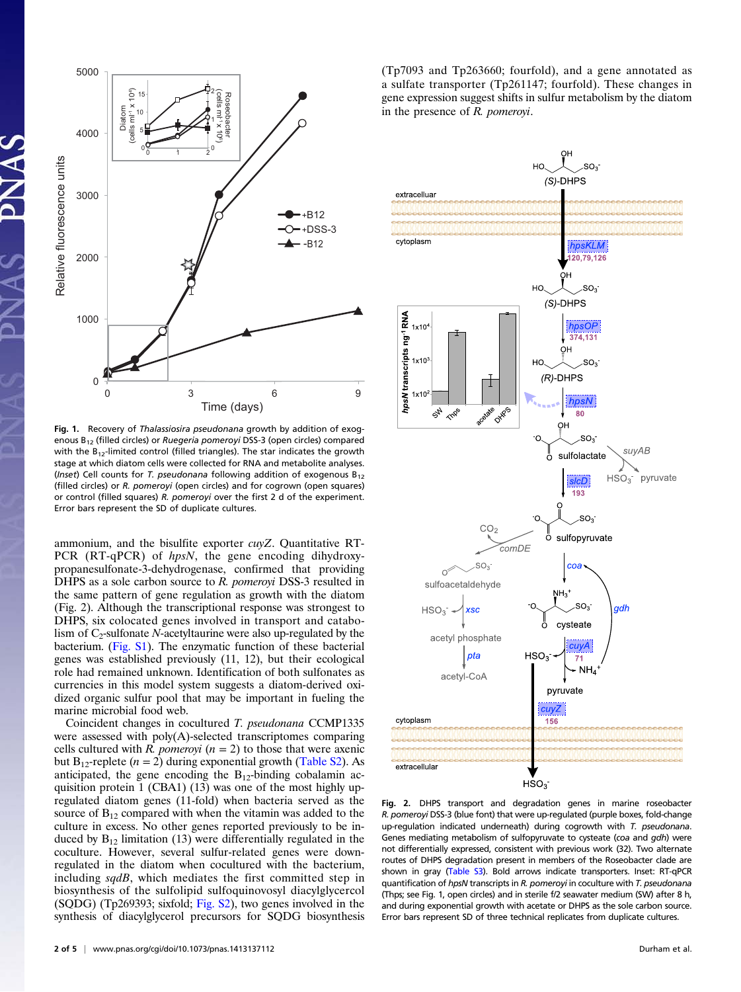

Fig. 1. Recovery of Thalassiosira pseudonana growth by addition of exogenous B12 (filled circles) or Ruegeria pomeroyi DSS-3 (open circles) compared with the  $B_{12}$ -limited control (filled triangles). The star indicates the growth stage at which diatom cells were collected for RNA and metabolite analyses. (Inset) Cell counts for T. pseudonana following addition of exogenous  $B_{12}$ (filled circles) or R. pomeroyi (open circles) and for cogrown (open squares) or control (filled squares) R. pomeroyi over the first 2 d of the experiment. Error bars represent the SD of duplicate cultures.

ammonium, and the bisulfite exporter cuyZ. Quantitative RT-PCR (RT-qPCR) of hpsN, the gene encoding dihydroxypropanesulfonate-3-dehydrogenase, confirmed that providing DHPS as a sole carbon source to R. pomeroyi DSS-3 resulted in the same pattern of gene regulation as growth with the diatom (Fig. 2). Although the transcriptional response was strongest to DHPS, six colocated genes involved in transport and catabolism of  $C_2$ -sulfonate N-acetyltaurine were also up-regulated by the bacterium. ([Fig. S1](http://www.pnas.org/lookup/suppl/doi:10.1073/pnas.1413137112/-/DCSupplemental/pnas.201413137SI.pdf?targetid=nameddest=SF1)). The enzymatic function of these bacterial genes was established previously (11, 12), but their ecological role had remained unknown. Identification of both sulfonates as currencies in this model system suggests a diatom-derived oxidized organic sulfur pool that may be important in fueling the marine microbial food web.

Coincident changes in cocultured T. pseudonana CCMP1335 were assessed with poly(A)-selected transcriptomes comparing cells cultured with R. pomeroyi  $(n = 2)$  to those that were axenic but B<sub>12</sub>-replete ( $n = 2$ ) during exponential growth ([Table S2\)](http://www.pnas.org/lookup/suppl/doi:10.1073/pnas.1413137112/-/DCSupplemental/pnas.1413137112.st02.docx). As anticipated, the gene encoding the  $B_{12}$ -binding cobalamin acquisition protein 1 (CBA1) (13) was one of the most highly upregulated diatom genes (11-fold) when bacteria served as the source of  $B_{12}$  compared with when the vitamin was added to the culture in excess. No other genes reported previously to be induced by  $B_{12}$  limitation (13) were differentially regulated in the coculture. However, several sulfur-related genes were downregulated in the diatom when cocultured with the bacterium, including sqdB, which mediates the first committed step in biosynthesis of the sulfolipid sulfoquinovosyl diacylglycercol (SQDG) (Tp269393; sixfold; [Fig. S2\)](http://www.pnas.org/lookup/suppl/doi:10.1073/pnas.1413137112/-/DCSupplemental/pnas.201413137SI.pdf?targetid=nameddest=SF2), two genes involved in the synthesis of diacylglycerol precursors for SQDG biosynthesis (Tp7093 and Tp263660; fourfold), and a gene annotated as a sulfate transporter (Tp261147; fourfold). These changes in gene expression suggest shifts in sulfur metabolism by the diatom in the presence of R. pomeroyi.



Fig. 2. DHPS transport and degradation genes in marine roseobacter R. pomeroyi DSS-3 (blue font) that were up-regulated (purple boxes, fold-change up-regulation indicated underneath) during cogrowth with T. pseudonana. Genes mediating metabolism of sulfopyruvate to cysteate (coa and gdh) were not differentially expressed, consistent with previous work (32). Two alternate routes of DHPS degradation present in members of the Roseobacter clade are shown in gray [\(Table S3](http://www.pnas.org/lookup/suppl/doi:10.1073/pnas.1413137112/-/DCSupplemental/pnas.1413137112.st03.docx)). Bold arrows indicate transporters. Inset: RT-qPCR quantification of hpsN transcripts in R. pomeroyi in coculture with T. pseudonana (Thps; see Fig. 1, open circles) and in sterile f/2 seawater medium (SW) after 8 h, and during exponential growth with acetate or DHPS as the sole carbon source. Error bars represent SD of three technical replicates from duplicate cultures.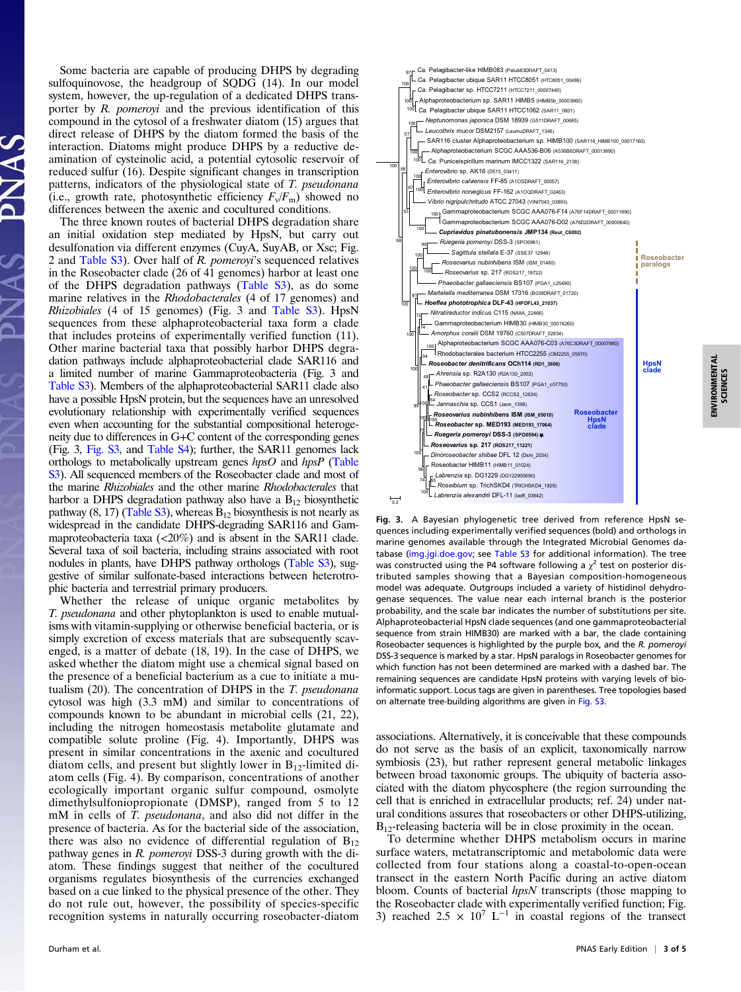Some bacteria are capable of producing DHPS by degrading sulfoquinovose, the headgroup of SQDG (14). In our model system, however, the up-regulation of a dedicated DHPS transporter by R. pomeroyi and the previous identification of this compound in the cytosol of a freshwater diatom (15) argues that direct release of DHPS by the diatom formed the basis of the interaction. Diatoms might produce DHPS by a reductive deamination of cysteinolic acid, a potential cytosolic reservoir of reduced sulfur (16). Despite significant changes in transcription patterns, indicators of the physiological state of T. pseudonana (i.e., growth rate, photosynthetic efficiency  $F_v/F_m$ ) showed no differences between the axenic and cocultured conditions.

The three known routes of bacterial DHPS degradation share an initial oxidation step mediated by HpsN, but carry out desulfonation via different enzymes (CuyA, SuyAB, or Xsc; Fig. 2 and [Table S3\)](http://www.pnas.org/lookup/suppl/doi:10.1073/pnas.1413137112/-/DCSupplemental/pnas.1413137112.st03.docx). Over half of R. pomeroyi's sequenced relatives in the Roseobacter clade (26 of 41 genomes) harbor at least one of the DHPS degradation pathways [\(Table S3](http://www.pnas.org/lookup/suppl/doi:10.1073/pnas.1413137112/-/DCSupplemental/pnas.1413137112.st03.docx)), as do some marine relatives in the Rhodobacterales (4 of 17 genomes) and Rhizobiales (4 of 15 genomes) (Fig. 3 and [Table S3\)](http://www.pnas.org/lookup/suppl/doi:10.1073/pnas.1413137112/-/DCSupplemental/pnas.1413137112.st03.docx). HpsN sequences from these alphaproteobacterial taxa form a clade that includes proteins of experimentally verified function (11). Other marine bacterial taxa that possibly harbor DHPS degradation pathways include alphaproteobacterial clade SAR116 and a limited number of marine Gammaproteobacteria (Fig. 3 and [Table S3\)](http://www.pnas.org/lookup/suppl/doi:10.1073/pnas.1413137112/-/DCSupplemental/pnas.1413137112.st03.docx). Members of the alphaproteobacterial SAR11 clade also have a possible HpsN protein, but the sequences have an unresolved evolutionary relationship with experimentally verified sequences even when accounting for the substantial compositional heterogeneity due to differences in G+C content of the corresponding genes (Fig. 3, [Fig. S3](http://www.pnas.org/lookup/suppl/doi:10.1073/pnas.1413137112/-/DCSupplemental/pnas.201413137SI.pdf?targetid=nameddest=SF3), and [Table S4](http://www.pnas.org/lookup/suppl/doi:10.1073/pnas.1413137112/-/DCSupplemental/pnas.1413137112.st04.docx)); further, the SAR11 genomes lack orthologs to metabolically upstream genes hpsO and hpsP ([Table](http://www.pnas.org/lookup/suppl/doi:10.1073/pnas.1413137112/-/DCSupplemental/pnas.1413137112.st03.docx) [S3](http://www.pnas.org/lookup/suppl/doi:10.1073/pnas.1413137112/-/DCSupplemental/pnas.1413137112.st03.docx)). All sequenced members of the Roseobacter clade and most of the marine Rhizobiales and the other marine Rhodobacterales that harbor a DHPS degradation pathway also have a  $B_{12}$  biosynthetic pathway  $(8, 17)$  [\(Table S3](http://www.pnas.org/lookup/suppl/doi:10.1073/pnas.1413137112/-/DCSupplemental/pnas.1413137112.st03.docx)), whereas  $B_{12}$  biosynthesis is not nearly as widespread in the candidate DHPS-degrading SAR116 and Gammaproteobacteria taxa  $\left( \langle 20\% \rangle \right)$  and is absent in the SAR11 clade. Several taxa of soil bacteria, including strains associated with root nodules in plants, have DHPS pathway orthologs [\(Table S3](http://www.pnas.org/lookup/suppl/doi:10.1073/pnas.1413137112/-/DCSupplemental/pnas.1413137112.st03.docx)), suggestive of similar sulfonate-based interactions between heterotrophic bacteria and terrestrial primary producers.

Whether the release of unique organic metabolites by T. pseudonana and other phytoplankton is used to enable mutualisms with vitamin-supplying or otherwise beneficial bacteria, or is simply excretion of excess materials that are subsequently scavenged, is a matter of debate (18, 19). In the case of DHPS, we asked whether the diatom might use a chemical signal based on the presence of a beneficial bacterium as a cue to initiate a mutualism (20). The concentration of DHPS in the T. pseudonana cytosol was high (3.3 mM) and similar to concentrations of compounds known to be abundant in microbial cells (21, 22), including the nitrogen homeostasis metabolite glutamate and compatible solute proline (Fig. 4). Importantly, DHPS was present in similar concentrations in the axenic and cocultured diatom cells, and present but slightly lower in  $B_{12}$ -limited diatom cells (Fig. 4). By comparison, concentrations of another ecologically important organic sulfur compound, osmolyte dimethylsulfoniopropionate (DMSP), ranged from 5 to 12 mM in cells of T. *pseudonana*, and also did not differ in the presence of bacteria. As for the bacterial side of the association, there was also no evidence of differential regulation of  $B_{12}$ pathway genes in R. pomeroyi DSS-3 during growth with the diatom. These findings suggest that neither of the cocultured organisms regulates biosynthesis of the currencies exchanged based on a cue linked to the physical presence of the other. They do not rule out, however, the possibility of species-specific recognition systems in naturally occurring roseobacter-diatom



Fig. 3. A Bayesian phylogenetic tree derived from reference HpsN sequences including experimentally verified sequences (bold) and orthologs in marine genomes available through the Integrated Microbial Genomes database (<img.jgi.doe.gov>; see [Table S3](http://www.pnas.org/lookup/suppl/doi:10.1073/pnas.1413137112/-/DCSupplemental/pnas.1413137112.st03.docx) for additional information). The tree was constructed using the P4 software following a  $\chi^2$  test on posterior distributed samples showing that a Bayesian composition-homogeneous model was adequate. Outgroups included a variety of histidinol dehydrogenase sequences. The value near each internal branch is the posterior probability, and the scale bar indicates the number of substitutions per site. Alphaproteobacterial HpsN clade sequences (and one gammaproteobacterial sequence from strain HIMB30) are marked with a bar, the clade containing Roseobacter sequences is highlighted by the purple box, and the R. pomeroyi DSS-3 sequence is marked by a star. HpsN paralogs in Roseobacter genomes for which function has not been determined are marked with a dashed bar. The remaining sequences are candidate HpsN proteins with varying levels of bioinformatic support. Locus tags are given in parentheses. Tree topologies based on alternate tree-building algorithms are given in [Fig. S3](http://www.pnas.org/lookup/suppl/doi:10.1073/pnas.1413137112/-/DCSupplemental/pnas.201413137SI.pdf?targetid=nameddest=SF3).

associations. Alternatively, it is conceivable that these compounds do not serve as the basis of an explicit, taxonomically narrow symbiosis (23), but rather represent general metabolic linkages between broad taxonomic groups. The ubiquity of bacteria associated with the diatom phycosphere (the region surrounding the cell that is enriched in extracellular products; ref. 24) under natural conditions assures that roseobacters or other DHPS-utilizing, B<sub>12</sub>-releasing bacteria will be in close proximity in the ocean.

To determine whether DHPS metabolism occurs in marine surface waters, metatranscriptomic and metabolomic data were collected from four stations along a coastal-to-open-ocean transect in the eastern North Pacific during an active diatom bloom. Counts of bacterial hpsN transcripts (those mapping to the Roseobacter clade with experimentally verified function; Fig. 3) reached 2.5 ×  $10^7$  L<sup>-1</sup> in coastal regions of the transect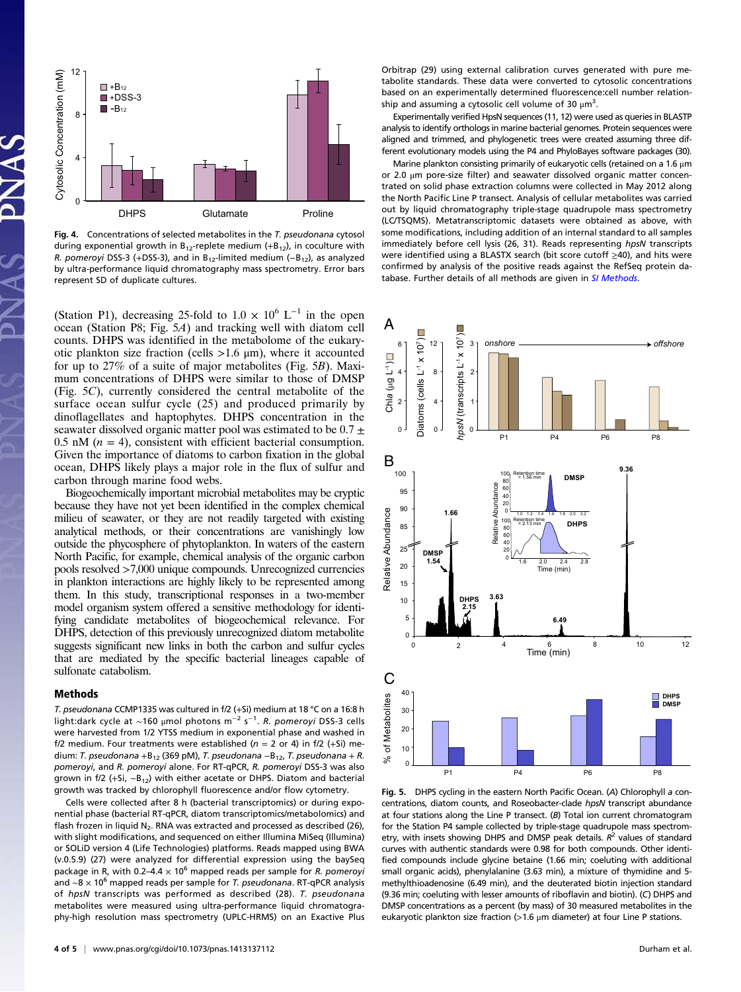

Fig. 4. Concentrations of selected metabolites in the T. pseudonana cytosol during exponential growth in  $B_{12}$ -replete medium (+ $B_{12}$ ), in coculture with R. pomeroyi DSS-3 (+DSS-3), and in B<sub>12</sub>-limited medium (-B<sub>12</sub>), as analyzed by ultra-performance liquid chromatography mass spectrometry. Error bars represent SD of duplicate cultures.

(Station P1), decreasing 25-fold to  $1.0 \times 10^6$  L<sup>-1</sup> in the open ocean (Station P8; Fig. 5A) and tracking well with diatom cell counts. DHPS was identified in the metabolome of the eukaryotic plankton size fraction (cells  $>1.6 \mu$ m), where it accounted for up to 27% of a suite of major metabolites (Fig. 5B). Maximum concentrations of DHPS were similar to those of DMSP (Fig. 5C), currently considered the central metabolite of the surface ocean sulfur cycle (25) and produced primarily by dinoflagellates and haptophytes. DHPS concentration in the seawater dissolved organic matter pool was estimated to be  $0.7 \pm$ 0.5 nM  $(n = 4)$ , consistent with efficient bacterial consumption. Given the importance of diatoms to carbon fixation in the global ocean, DHPS likely plays a major role in the flux of sulfur and carbon through marine food webs.

Biogeochemically important microbial metabolites may be cryptic because they have not yet been identified in the complex chemical milieu of seawater, or they are not readily targeted with existing analytical methods, or their concentrations are vanishingly low outside the phycosphere of phytoplankton. In waters of the eastern North Pacific, for example, chemical analysis of the organic carbon pools resolved >7,000 unique compounds. Unrecognized currencies in plankton interactions are highly likely to be represented among them. In this study, transcriptional responses in a two-member model organism system offered a sensitive methodology for identifying candidate metabolites of biogeochemical relevance. For DHPS, detection of this previously unrecognized diatom metabolite suggests significant new links in both the carbon and sulfur cycles that are mediated by the specific bacterial lineages capable of sulfonate catabolism.

## Methods

T. pseudonana CCMP1335 was cultured in f/2 (+Si) medium at 18 °C on a 16:8 h light:dark cycle at ~160 μmol photons m<sup>−2</sup> s<sup>−1</sup>. *R. pomeroyi* DSS-3 cells were harvested from 1/2 YTSS medium in exponential phase and washed in f/2 medium. Four treatments were established ( $n = 2$  or 4) in f/2 (+Si) medium: T. pseudonana +B<sub>12</sub> (369 pM), T. pseudonana -B<sub>12</sub>, T. pseudonana + R. pomeroyi, and R. pomeroyi alone. For RT-qPCR, R. pomeroyi DSS-3 was also grown in f/2 (+Si,  $-B_{12}$ ) with either acetate or DHPS. Diatom and bacterial growth was tracked by chlorophyll fluorescence and/or flow cytometry.

Cells were collected after 8 h (bacterial transcriptomics) or during exponential phase (bacterial RT-qPCR, diatom transcriptomics/metabolomics) and flash frozen in liquid  $N_2$ . RNA was extracted and processed as described (26), with slight modifications, and sequenced on either Illumina MiSeq (Illumina) or SOLiD version 4 (Life Technologies) platforms. Reads mapped using BWA (v.0.5.9) (27) were analyzed for differential expression using the baySeq package in R, with 0.2–4.4  $\times$  10<sup>6</sup> mapped reads per sample for R. pomeroyi and ~8 × 10<sup>6</sup> mapped reads per sample for *T. pseudonana*. RT-qPCR analysis of hpsN transcripts was performed as described (28). T. pseudonana metabolites were measured using ultra-performance liquid chromatography-high resolution mass spectrometry (UPLC-HRMS) on an Exactive Plus Orbitrap (29) using external calibration curves generated with pure metabolite standards. These data were converted to cytosolic concentrations based on an experimentally determined fluorescence:cell number relationship and assuming a cytosolic cell volume of 30  $\mu$ m<sup>3</sup>.

Experimentally verified HpsN sequences (11, 12) were used as queries in BLASTP analysis to identify orthologs in marine bacterial genomes. Protein sequences were aligned and trimmed, and phylogenetic trees were created assuming three different evolutionary models using the P4 and PhyloBayes software packages (30).

Marine plankton consisting primarily of eukaryotic cells (retained on a 1.6 μm or 2.0 μm pore-size filter) and seawater dissolved organic matter concentrated on solid phase extraction columns were collected in May 2012 along the North Pacific Line P transect. Analysis of cellular metabolites was carried out by liquid chromatography triple-stage quadrupole mass spectrometry (LC/TSQMS). Metatranscriptomic datasets were obtained as above, with some modifications, including addition of an internal standard to all samples immediately before cell lysis (26, 31). Reads representing hpsN transcripts were identified using a BLASTX search (bit score cutoff ≥40), and hits were confirmed by analysis of the positive reads against the RefSeq protein database. Further details of all methods are given in [SI Methods](http://www.pnas.org/lookup/suppl/doi:10.1073/pnas.1413137112/-/DCSupplemental/pnas.201413137SI.pdf?targetid=nameddest=STXT).



Fig. 5. DHPS cycling in the eastern North Pacific Ocean. (A) Chlorophyll a concentrations, diatom counts, and Roseobacter-clade hpsN transcript abundance at four stations along the Line P transect. (B) Total ion current chromatogram for the Station P4 sample collected by triple-stage quadrupole mass spectrometry, with insets showing DHPS and DMSP peak details.  $R^2$  values of standard curves with authentic standards were 0.98 for both compounds. Other identified compounds include glycine betaine (1.66 min; coeluting with additional small organic acids), phenylalanine (3.63 min), a mixture of thymidine and 5 methylthioadenosine (6.49 min), and the deuterated biotin injection standard (9.36 min; coeluting with lesser amounts of riboflavin and biotin). (C) DHPS and DMSP concentrations as a percent (by mass) of 30 measured metabolites in the eukaryotic plankton size fraction  $(>1.6 \mu m)$  diameter) at four Line P stations.